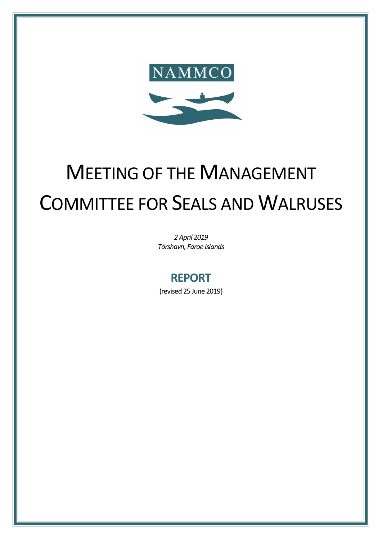

# MEETING OF THE MANAGEMENT COMMITTEE FOR SEALS AND WALRUSES

*2April 2019 Tórshavn, Faroe Islands*

## **REPORT**

(revised 25 June 2019)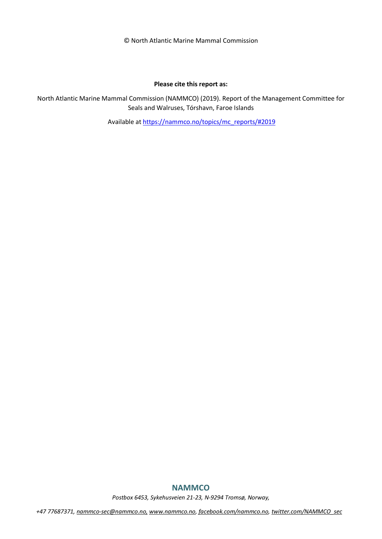© North Atlantic Marine Mammal Commission

#### **Please cite this report as:**

North Atlantic Marine Mammal Commission (NAMMCO) (2019). Report of the Management Committee for Seals and Walruses, Tórshavn, Faroe Islands

Available at [https://nammco.no/topics/mc\\_reports/#2019](https://nammco.no/topics/mc_reports/#2019)

#### **NAMMCO**

*Postbox 6453, Sykehusveien 21-23, N-9294 Tromsø, Norway,*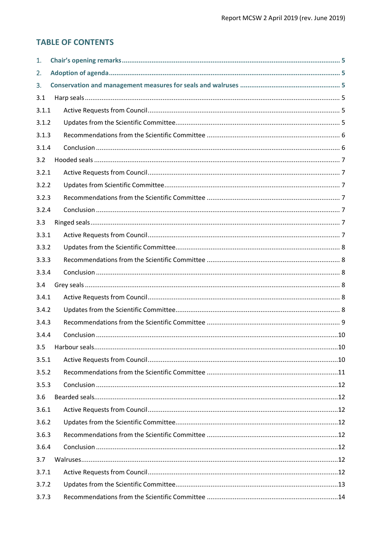#### **TABLE OF CONTENTS**

| 1.    |  |
|-------|--|
| 2.    |  |
| 3.    |  |
| 3.1   |  |
| 3.1.1 |  |
| 3.1.2 |  |
| 3.1.3 |  |
| 3.1.4 |  |
| 3.2   |  |
| 3.2.1 |  |
| 3.2.2 |  |
| 3.2.3 |  |
| 3.2.4 |  |
| 3.3   |  |
| 3.3.1 |  |
| 3.3.2 |  |
| 3.3.3 |  |
| 3.3.4 |  |
| 3.4   |  |
| 3.4.1 |  |
| 3.4.2 |  |
| 3.4.3 |  |
| 3.4.4 |  |
| 3.5   |  |
| 3.5.1 |  |
| 3.5.2 |  |
| 3.5.3 |  |
| 3.6   |  |
| 3.6.1 |  |
| 3.6.2 |  |
| 3.6.3 |  |
| 3.6.4 |  |
| 3.7   |  |
| 3.7.1 |  |
| 3.7.2 |  |
| 3.7.3 |  |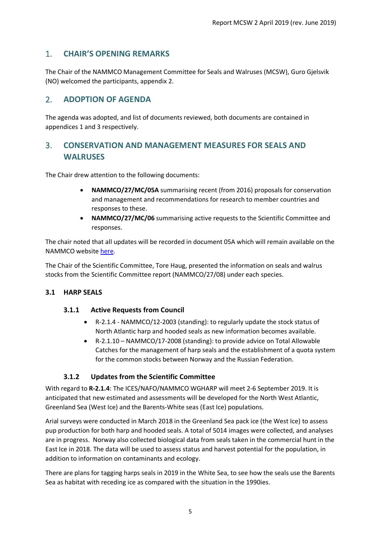#### <span id="page-4-0"></span>1. **CHAIR'S OPENING REMARKS**

The Chair of the NAMMCO Management Committee for Seals and Walruses (MCSW), Guro Gjelsvik (NO) welcomed the participants, appendix 2.

#### <span id="page-4-1"></span>2. **ADOPTION OF AGENDA**

The agenda was adopted, and list of documents reviewed, both documents are contained in appendices 1 and 3 respectively.

### <span id="page-4-2"></span>3. **CONSERVATION AND MANAGEMENT MEASURES FOR SEALS AND WALRUSES**

The Chair drew attention to the following documents:

- **NAMMCO/27/MC/05A** summarising recent (from 2016) proposals for conservation and management and recommendations for research to member countries and responses to these.
- **NAMMCO/27/MC/06** summarising active requests to the Scientific Committee and responses.

The chair noted that all updates will be recorded in document 05A which will remain available on the NAMMCO websit[e here.](https://nammco.no/meetings/management-committees/#1550473934423-f3b3e7ed-0e5f)

The Chair of the Scientific Committee, Tore Haug, presented the information on seals and walrus stocks from the Scientific Committee report (NAMMCO/27/08) under each species.

#### <span id="page-4-4"></span><span id="page-4-3"></span>**3.1 HARP SEALS**

#### **3.1.1 Active Requests from Council**

- R-2.1.4 NAMMCO/12-2003 (standing): to regularly update the stock status of North Atlantic harp and hooded seals as new information becomes available.
- R-2.1.10 NAMMCO/17-2008 (standing): to provide advice on Total Allowable Catches for the management of harp seals and the establishment of a quota system for the common stocks between Norway and the Russian Federation.

#### **3.1.2 Updates from the Scientific Committee**

<span id="page-4-5"></span>With regard to **R-2.1.4**: The ICES/NAFO/NAMMCO WGHARP will meet 2-6 September 2019. It is anticipated that new estimated and assessments will be developed for the North West Atlantic, Greenland Sea (West Ice) and the Barents-White seas (East Ice) populations.

Arial surveys were conducted in March 2018 in the Greenland Sea pack ice (the West Ice) to assess pup production for both harp and hooded seals. A total of 5014 images were collected, and analyses are in progress. Norway also collected biological data from seals taken in the commercial hunt in the East Ice in 2018. The data will be used to assess status and harvest potential for the population, in addition to information on contaminants and ecology.

There are plans for tagging harps seals in 2019 in the White Sea, to see how the seals use the Barents Sea as habitat with receding ice as compared with the situation in the 1990ies.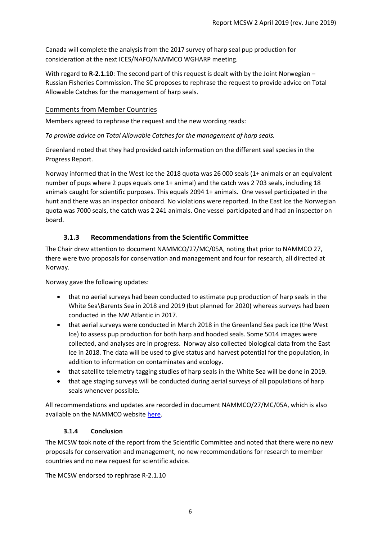Canada will complete the analysis from the 2017 survey of harp seal pup production for consideration at the next ICES/NAFO/NAMMCO WGHARP meeting.

With regard to **R-2.1.10**: The second part of this request is dealt with by the Joint Norwegian – Russian Fisheries Commission. The SC proposes to rephrase the request to provide advice on Total Allowable Catches for the management of harp seals.

#### Comments from Member Countries

Members agreed to rephrase the request and the new wording reads:

*To provide advice on Total Allowable Catches for the management of harp seals.*

Greenland noted that they had provided catch information on the different seal species in the Progress Report.

Norway informed that in the West Ice the 2018 quota was 26 000 seals (1+ animals or an equivalent number of pups where 2 pups equals one 1+ animal) and the catch was 2 703 seals, including 18 animals caught for scientific purposes. This equals 2094 1+ animals. One vessel participated in the hunt and there was an inspector onboard. No violations were reported. In the East Ice the Norwegian quota was 7000 seals, the catch was 2 241 animals. One vessel participated and had an inspector on board.

#### **3.1.3 Recommendations from the Scientific Committee**

<span id="page-5-0"></span>The Chair drew attention to document NAMMCO/27/MC/05A, noting that prior to NAMMCO 27, there were two proposals for conservation and management and four for research, all directed at Norway.

Norway gave the following updates:

- that no aerial surveys had been conducted to estimate pup production of harp seals in the White Sea\Barents Sea in 2018 and 2019 (but planned for 2020) whereas surveys had been conducted in the NW Atlantic in 2017.
- that aerial surveys were conducted in March 2018 in the Greenland Sea pack ice (the West Ice) to assess pup production for both harp and hooded seals. Some 5014 images were collected, and analyses are in progress. Norway also collected biological data from the East Ice in 2018. The data will be used to give status and harvest potential for the population, in addition to information on contaminates and ecology.
- that satellite telemetry tagging studies of harp seals in the White Sea will be done in 2019.
- that age staging surveys will be conducted during aerial surveys of all populations of harp seals whenever possible.

All recommendations and updates are recorded in document NAMMCO/27/MC/05A, which is also available on the NAMMCO website [here.](https://nammco.no/meetings/management-committees/#1550473934423-f3b3e7ed-0e5f)

#### **3.1.4 Conclusion**

<span id="page-5-1"></span>The MCSW took note of the report from the Scientific Committee and noted that there were no new proposals for conservation and management, no new recommendations for research to member countries and no new request for scientific advice.

The MCSW endorsed to rephrase R-2.1.10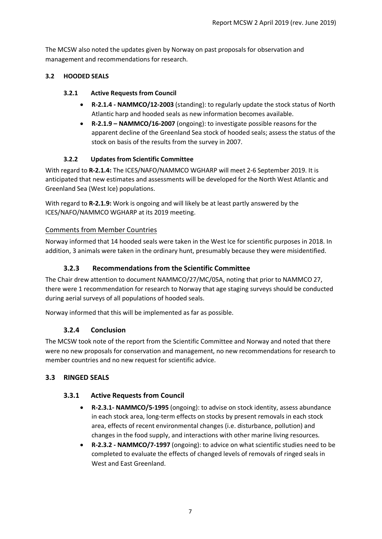The MCSW also noted the updates given by Norway on past proposals for observation and management and recommendations for research.

#### <span id="page-6-1"></span><span id="page-6-0"></span>**3.2 HOODED SEALS**

#### **3.2.1 Active Requests from Council**

- **R-2.1.4 - NAMMCO/12-2003** (standing): to regularly update the stock status of North Atlantic harp and hooded seals as new information becomes available.
- **R-2.1.9 – NAMMCO/16-2007** (ongoing): to investigate possible reasons for the apparent decline of the Greenland Sea stock of hooded seals; assess the status of the stock on basis of the results from the survey in 2007.

#### **3.2.2 Updates from Scientific Committee**

<span id="page-6-2"></span>With regard to **R-2.1.4:** The ICES/NAFO/NAMMCO WGHARP will meet 2-6 September 2019. It is anticipated that new estimates and assessments will be developed for the North West Atlantic and Greenland Sea (West Ice) populations.

With regard to **R-2.1.9:** Work is ongoing and will likely be at least partly answered by the ICES/NAFO/NAMMCO WGHARP at its 2019 meeting.

#### Comments from Member Countries

Norway informed that 14 hooded seals were taken in the West Ice for scientific purposes in 2018. In addition, 3 animals were taken in the ordinary hunt, presumably because they were misidentified.

#### <span id="page-6-3"></span>**3.2.3 Recommendations from the Scientific Committee**

The Chair drew attention to document NAMMCO/27/MC/05A, noting that prior to NAMMCO 27, there were 1 recommendation for research to Norway that age staging surveys should be conducted during aerial surveys of all populations of hooded seals.

<span id="page-6-4"></span>Norway informed that this will be implemented as far as possible.

#### **3.2.4 Conclusion**

The MCSW took note of the report from the Scientific Committee and Norway and noted that there were no new proposals for conservation and management, no new recommendations for research to member countries and no new request for scientific advice.

#### <span id="page-6-6"></span><span id="page-6-5"></span>**3.3 RINGED SEALS**

#### **3.3.1 Active Requests from Council**

- **R-2.3.1- NAMMCO/5-1995** (ongoing): to advise on stock identity, assess abundance in each stock area, long-term effects on stocks by present removals in each stock area, effects of recent environmental changes (i.e. disturbance, pollution) and changes in the food supply, and interactions with other marine living resources.
- **R-2.3.2 - NAMMCO/7-1997** (ongoing): to advice on what scientific studies need to be completed to evaluate the effects of changed levels of removals of ringed seals in West and East Greenland.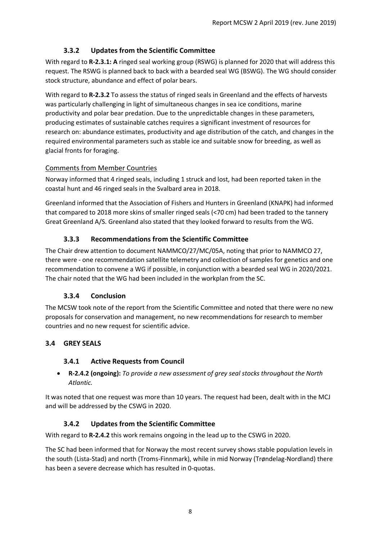#### **3.3.2 Updates from the Scientific Committee**

<span id="page-7-0"></span>With regard to **R-2.3.1: A** ringed seal working group (RSWG) is planned for 2020 that will address this request. The RSWG is planned back to back with a bearded seal WG (BSWG). The WG should consider stock structure, abundance and effect of polar bears.

With regard to **R-2.3.2** To assess the status of ringed seals in Greenland and the effects of harvests was particularly challenging in light of simultaneous changes in sea ice conditions, marine productivity and polar bear predation. Due to the unpredictable changes in these parameters, producing estimates of sustainable catches requires a significant investment of resources for research on: abundance estimates, productivity and age distribution of the catch, and changes in the required environmental parameters such as stable ice and suitable snow for breeding, as well as glacial fronts for foraging.

#### Comments from Member Countries

Norway informed that 4 ringed seals, including 1 struck and lost, had been reported taken in the coastal hunt and 46 ringed seals in the Svalbard area in 2018.

Greenland informed that the Association of Fishers and Hunters in Greenland (KNAPK) had informed that compared to 2018 more skins of smaller ringed seals (<70 cm) had been traded to the tannery Great Greenland A/S. Greenland also stated that they looked forward to results from the WG.

#### **3.3.3 Recommendations from the Scientific Committee**

<span id="page-7-1"></span>The Chair drew attention to document NAMMCO/27/MC/05A, noting that prior to NAMMCO 27, there were - one recommendation satellite telemetry and collection of samples for genetics and one recommendation to convene a WG if possible, in conjunction with a bearded seal WG in 2020/2021. The chair noted that the WG had been included in the workplan from the SC.

#### **3.3.4 Conclusion**

<span id="page-7-2"></span>The MCSW took note of the report from the Scientific Committee and noted that there were no new proposals for conservation and management, no new recommendations for research to member countries and no new request for scientific advice.

#### <span id="page-7-4"></span><span id="page-7-3"></span>**3.4 GREY SEALS**

#### **3.4.1 Active Requests from Council**

• **R-2.4.2 (ongoing):** *To provide a new assessment of grey seal stocks throughout the North Atlantic.* 

It was noted that one request was more than 10 years. The request had been, dealt with in the MCJ and will be addressed by the CSWG in 2020.

#### **3.4.2 Updates from the Scientific Committee**

<span id="page-7-5"></span>With regard to **R-2.4.2** this work remains ongoing in the lead up to the CSWG in 2020.

The SC had been informed that for Norway the most recent survey shows stable population levels in the south (Lista-Stad) and north (Troms-Finnmark), while in mid Norway (Trøndelag-Nordland) there has been a severe decrease which has resulted in 0-quotas.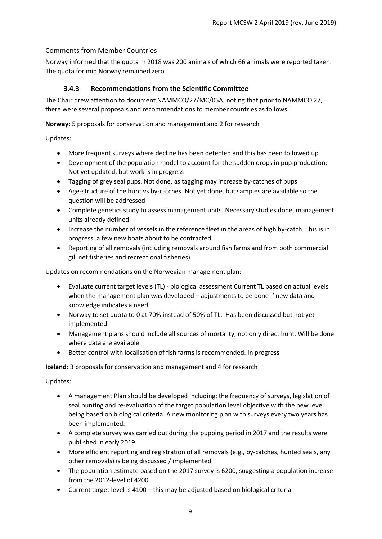#### Comments from Member Countries

Norway informed that the quota in 2018 was 200 animals of which 66 animals were reported taken. The quota for mid Norway remained zero.

#### **3.4.3 Recommendations from the Scientific Committee**

<span id="page-8-0"></span>The Chair drew attention to document NAMMCO/27/MC/05A, noting that prior to NAMMCO 27, there were several proposals and recommendations to member countries as follows:

#### **Norway:** 5 proposals for conservation and management and 2 for research

Updates:

- More frequent surveys where decline has been detected and this has been followed up
- Development of the population model to account for the sudden drops in pup production: Not yet updated, but work is in progress
- Tagging of grey seal pups. Not done, as tagging may increase by-catches of pups
- Age-structure of the hunt vs by-catches. Not yet done, but samples are available so the question will be addressed
- Complete genetics study to assess management units. Necessary studies done, management units already defined.
- Increase the number of vessels in the reference fleet in the areas of high by-catch. This is in progress, a few new boats about to be contracted.
- Reporting of all removals (including removals around fish farms and from both commercial gill net fisheries and recreational fisheries).

Updates on recommendations on the Norwegian management plan:

- Evaluate current target levels (TL) biological assessment Current TL based on actual levels when the management plan was developed – adjustments to be done if new data and knowledge indicates a need
- Norway to set quota to 0 at 70% instead of 50% of TL. Has been discussed but not yet implemented
- Management plans should include all sources of mortality, not only direct hunt. Will be done where data are available
- Better control with localisation of fish farms is recommended. In progress

#### **Iceland:** 3 proposals for conservation and management and 4 for research

Updates:

- A management Plan should be developed including: the frequency of surveys, legislation of seal hunting and re-evaluation of the target population level objective with the new level being based on biological criteria. A new monitoring plan with surveys every two years has been implemented.
- A complete survey was carried out during the pupping period in 2017 and the results were published in early 2019.
- More efficient reporting and registration of all removals (e.g., by-catches, hunted seals, any other removals) is being discussed / implemented
- The population estimate based on the 2017 survey is 6200, suggesting a population increase from the 2012-level of 4200
- Current target level is 4100 this may be adjusted based on biological criteria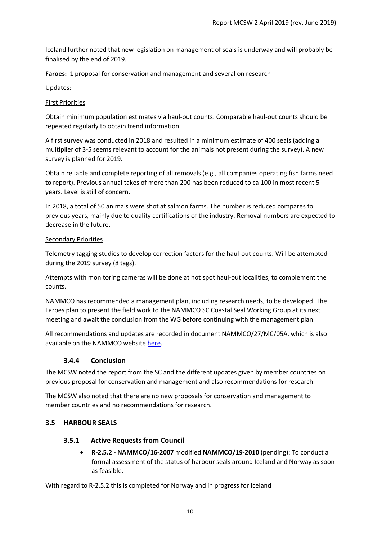Iceland further noted that new legislation on management of seals is underway and will probably be finalised by the end of 2019.

**Faroes:** 1 proposal for conservation and management and several on research

Updates:

#### First Priorities

Obtain minimum population estimates via haul-out counts. Comparable haul-out counts should be repeated regularly to obtain trend information.

A first survey was conducted in 2018 and resulted in a minimum estimate of 400 seals (adding a multiplier of 3-5 seems relevant to account for the animals not present during the survey). A new survey is planned for 2019.

Obtain reliable and complete reporting of all removals (e.g., all companies operating fish farms need to report). Previous annual takes of more than 200 has been reduced to ca 100 in most recent 5 years. Level is still of concern.

In 2018, a total of 50 animals were shot at salmon farms. The number is reduced compares to previous years, mainly due to quality certifications of the industry. Removal numbers are expected to decrease in the future.

#### Secondary Priorities

Telemetry tagging studies to develop correction factors for the haul-out counts. Will be attempted during the 2019 survey (8 tags).

Attempts with monitoring cameras will be done at hot spot haul-out localities, to complement the counts.

NAMMCO has recommended a management plan, including research needs, to be developed. The Faroes plan to present the field work to the NAMMCO SC Coastal Seal Working Group at its next meeting and await the conclusion from the WG before continuing with the management plan.

All recommendations and updates are recorded in document NAMMCO/27/MC/05A, which is also available on the NAMMCO website [here.](https://nammco.no/meetings/management-committees/#1550473934423-f3b3e7ed-0e5f)

#### **3.4.4 Conclusion**

<span id="page-9-0"></span>The MCSW noted the report from the SC and the different updates given by member countries on previous proposal for conservation and management and also recommendations for research.

The MCSW also noted that there are no new proposals for conservation and management to member countries and no recommendations for research.

#### <span id="page-9-2"></span><span id="page-9-1"></span>**3.5 HARBOUR SEALS**

#### **3.5.1 Active Requests from Council**

• **R-2.5.2 - NAMMCO/16-2007** modified **NAMMCO/19-2010** (pending): To conduct a formal assessment of the status of harbour seals around Iceland and Norway as soon as feasible.

With regard to R-2.5.2 this is completed for Norway and in progress for Iceland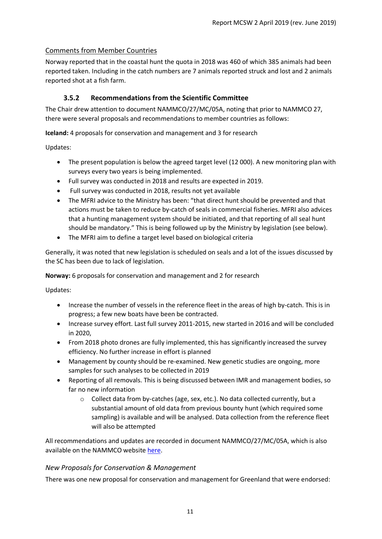#### Comments from Member Countries

Norway reported that in the coastal hunt the quota in 2018 was 460 of which 385 animals had been reported taken. Including in the catch numbers are 7 animals reported struck and lost and 2 animals reported shot at a fish farm.

#### **3.5.2 Recommendations from the Scientific Committee**

<span id="page-10-0"></span>The Chair drew attention to document NAMMCO/27/MC/05A, noting that prior to NAMMCO 27, there were several proposals and recommendations to member countries as follows:

**Iceland:** 4 proposals for conservation and management and 3 for research

Updates:

- The present population is below the agreed target level (12 000). A new monitoring plan with surveys every two years is being implemented.
- Full survey was conducted in 2018 and results are expected in 2019.
- Full survey was conducted in 2018, results not yet available
- The MFRI advice to the Ministry has been: "that direct hunt should be prevented and that actions must be taken to reduce by-catch of seals in commercial fisheries. MFRI also advices that a hunting management system should be initiated, and that reporting of all seal hunt should be mandatory." This is being followed up by the Ministry by legislation (see below).
- The MFRI aim to define a target level based on biological criteria

Generally, it was noted that new legislation is scheduled on seals and a lot of the issues discussed by the SC has been due to lack of legislation.

#### **Norway:** 6 proposals for conservation and management and 2 for research

Updates:

- Increase the number of vessels in the reference fleet in the areas of high by-catch. This is in progress; a few new boats have been be contracted.
- Increase survey effort. Last full survey 2011-2015, new started in 2016 and will be concluded in 2020,
- From 2018 photo drones are fully implemented, this has significantly increased the survey efficiency. No further increase in effort is planned
- Management by county should be re-examined. New genetic studies are ongoing, more samples for such analyses to be collected in 2019
- Reporting of all removals. This is being discussed between IMR and management bodies, so far no new information
	- o Collect data from by-catches (age, sex, etc.). No data collected currently, but a substantial amount of old data from previous bounty hunt (which required some sampling) is available and will be analysed. Data collection from the reference fleet will also be attempted

All recommendations and updates are recorded in document NAMMCO/27/MC/05A, which is also available on the NAMMCO website [here.](https://nammco.no/meetings/management-committees/#1550473934423-f3b3e7ed-0e5f)

#### *New Proposals for Conservation & Management*

There was one new proposal for conservation and management for Greenland that were endorsed: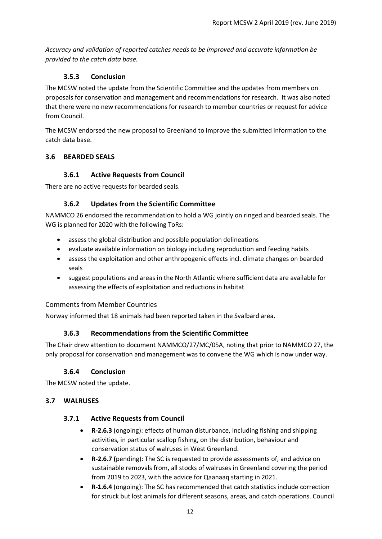*Accuracy and validation of reported catches needs to be improved and accurate information be provided to the catch data base.*

#### **3.5.3 Conclusion**

<span id="page-11-0"></span>The MCSW noted the update from the Scientific Committee and the updates from members on proposals for conservation and management and recommendations for research. It was also noted that there were no new recommendations for research to member countries or request for advice from Council.

The MCSW endorsed the new proposal to Greenland to improve the submitted information to the catch data base.

#### <span id="page-11-2"></span><span id="page-11-1"></span>**3.6 BEARDED SEALS**

#### **3.6.1 Active Requests from Council**

<span id="page-11-3"></span>There are no active requests for bearded seals.

#### **3.6.2 Updates from the Scientific Committee**

NAMMCO 26 endorsed the recommendation to hold a WG jointly on ringed and bearded seals. The WG is planned for 2020 with the following ToRs:

- assess the global distribution and possible population delineations
- evaluate available information on biology including reproduction and feeding habits
- assess the exploitation and other anthropogenic effects incl. climate changes on bearded seals
- suggest populations and areas in the North Atlantic where sufficient data are available for assessing the effects of exploitation and reductions in habitat

#### Comments from Member Countries

<span id="page-11-4"></span>Norway informed that 18 animals had been reported taken in the Svalbard area.

#### **3.6.3 Recommendations from the Scientific Committee**

The Chair drew attention to document NAMMCO/27/MC/05A, noting that prior to NAMMCO 27, the only proposal for conservation and management was to convene the WG which is now under way.

#### **3.6.4 Conclusion**

<span id="page-11-5"></span>The MCSW noted the update.

#### <span id="page-11-7"></span><span id="page-11-6"></span>**3.7 WALRUSES**

#### **3.7.1 Active Requests from Council**

- **R-2.6.3** (ongoing): effects of human disturbance, including fishing and shipping activities, in particular scallop fishing, on the distribution, behaviour and conservation status of walruses in West Greenland.
- **R-2.6.7 (**pending): The SC is requested to provide assessments of, and advice on sustainable removals from, all stocks of walruses in Greenland covering the period from 2019 to 2023, with the advice for Qaanaaq starting in 2021.
- **R-1.6.4** (ongoing): The SC has recommended that catch statistics include correction for struck but lost animals for different seasons, areas, and catch operations. Council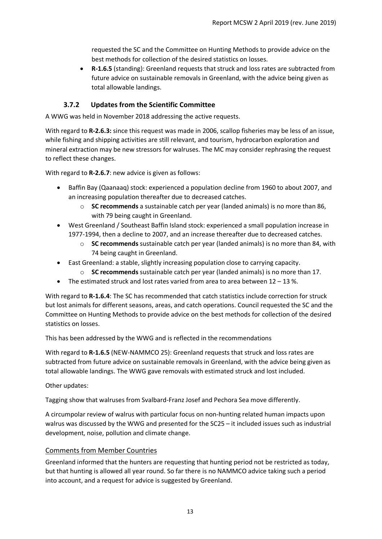requested the SC and the Committee on Hunting Methods to provide advice on the best methods for collection of the desired statistics on losses.

• **R-1.6.5** (standing): Greenland requests that struck and loss rates are subtracted from future advice on sustainable removals in Greenland, with the advice being given as total allowable landings.

#### **3.7.2 Updates from the Scientific Committee**

<span id="page-12-0"></span>A WWG was held in November 2018 addressing the active requests.

With regard to **R-2.6.3:** since this request was made in 2006, scallop fisheries may be less of an issue, while fishing and shipping activities are still relevant, and tourism, hydrocarbon exploration and mineral extraction may be new stressors for walruses. The MC may consider rephrasing the request to reflect these changes.

With regard to **R-2.6.7**: new advice is given as follows:

- Baffin Bay (Qaanaaq) stock: experienced a population decline from 1960 to about 2007, and an increasing population thereafter due to decreased catches.
	- o **SC recommends** a sustainable catch per year (landed animals) is no more than 86, with 79 being caught in Greenland.
- West Greenland / Southeast Baffin Island stock: experienced a small population increase in 1977-1994, then a decline to 2007, and an increase thereafter due to decreased catches.
	- o **SC recommends** sustainable catch per year (landed animals) is no more than 84, with 74 being caught in Greenland.
- East Greenland: a stable, slightly increasing population close to carrying capacity.
	- o **SC recommends** sustainable catch per year (landed animals) is no more than 17.
- The estimated struck and lost rates varied from area to area between  $12 13$ %.

With regard to **R-1.6.4**: The SC has recommended that catch statistics include correction for struck but lost animals for different seasons, areas, and catch operations. Council requested the SC and the Committee on Hunting Methods to provide advice on the best methods for collection of the desired statistics on losses.

This has been addressed by the WWG and is reflected in the recommendations

With regard to **R-1.6.5** (NEW-NAMMCO 25): Greenland requests that struck and loss rates are subtracted from future advice on sustainable removals in Greenland, with the advice being given as total allowable landings. The WWG gave removals with estimated struck and lost included.

Other updates:

Tagging show that walruses from Svalbard-Franz Josef and Pechora Sea move differently.

A circumpolar review of walrus with particular focus on non-hunting related human impacts upon walrus was discussed by the WWG and presented for the SC25 – it included issues such as industrial development, noise, pollution and climate change.

#### Comments from Member Countries

Greenland informed that the hunters are requesting that hunting period not be restricted as today, but that hunting is allowed all year round. So far there is no NAMMCO advice taking such a period into account, and a request for advice is suggested by Greenland.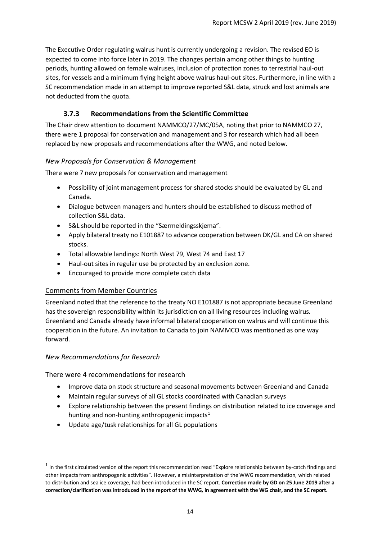The Executive Order regulating walrus hunt is currently undergoing a revision. The revised EO is expected to come into force later in 2019. The changes pertain among other things to hunting periods, hunting allowed on female walruses, inclusion of protection zones to terrestrial haul-out sites, for vessels and a minimum flying height above walrus haul-out sites. Furthermore, in line with a SC recommendation made in an attempt to improve reported S&L data, struck and lost animals are not deducted from the quota.

#### **3.7.3 Recommendations from the Scientific Committee**

<span id="page-13-0"></span>The Chair drew attention to document NAMMCO/27/MC/05A, noting that prior to NAMMCO 27, there were 1 proposal for conservation and management and 3 for research which had all been replaced by new proposals and recommendations after the WWG, and noted below.

#### *New Proposals for Conservation & Management*

There were 7 new proposals for conservation and management

- Possibility of joint management process for shared stocks should be evaluated by GL and Canada.
- Dialogue between managers and hunters should be established to discuss method of collection S&L data.
- S&L should be reported in the "Særmeldingsskjema".
- Apply bilateral treaty no E101887 to advance cooperation between DK/GL and CA on shared stocks.
- Total allowable landings: North West 79, West 74 and East 17
- Haul-out sites in regular use be protected by an exclusion zone.
- Encouraged to provide more complete catch data

#### Comments from Member Countries

Greenland noted that the reference to the treaty NO E101887 is not appropriate because Greenland has the sovereign responsibility within its jurisdiction on all living resources including walrus. Greenland and Canada already have informal bilateral cooperation on walrus and will continue this cooperation in the future. An invitation to Canada to join NAMMCO was mentioned as one way forward.

#### *New Recommendations for Research*

There were 4 recommendations for research

- Improve data on stock structure and seasonal movements between Greenland and Canada
- Maintain regular surveys of all GL stocks coordinated with Canadian surveys
- Explore relationship between the present findings on distribution related to ice coverage and hunting and non-hunting anthropogenic impacts<sup>[1](#page-13-1)</sup>
- Update age/tusk relationships for all GL populations

<span id="page-13-1"></span> $1$  In the first circulated version of the report this recommendation read "Explore relationship between by-catch findings and other impacts from anthropogenic activities". However, a misinterpretation of the WWG recommendation, which related to distribution and sea ice coverage, had been introduced in the SC report. **Correction made by GD on 25 June 2019 after a correction/clarification was introduced in the report of the WWG, in agreement with the WG chair, and the SC report.**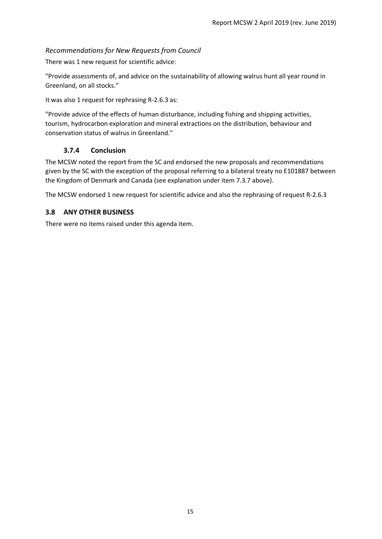#### *Recommendations for New Requests from Council*

There was 1 new request for scientific advice:

"Provide assessments of, and advice on the sustainability of allowing walrus hunt all year round in Greenland, on all stocks."

It was also 1 request for rephrasing R-2.6.3 as:

"Provide advice of the effects of human disturbance, including fishing and shipping activities, tourism, hydrocarbon exploration and mineral extractions on the distribution, behaviour and conservation status of walrus in Greenland."

#### **3.7.4 Conclusion**

<span id="page-14-0"></span>The MCSW noted the report from the SC and endorsed the new proposals and recommendations given by the SC with the exception of the proposal referring to a bilateral treaty no E101887 between the Kingdom of Denmark and Canada (see explanation under item 7.3.7 above).

The MCSW endorsed 1 new request for scientific advice and also the rephrasing of request R-2.6.3

#### <span id="page-14-1"></span>**3.8 ANY OTHER BUSINESS**

There were no items raised under this agenda item.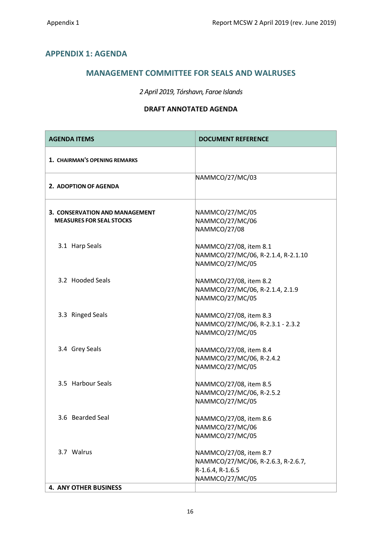#### <span id="page-15-0"></span>**APPENDIX 1: AGENDA**

#### **MANAGEMENT COMMITTEE FOR SEALS AND WALRUSES**

#### *2 April 2019, Tórshavn, Faroe Islands*

#### **DRAFT ANNOTATED AGENDA**

| <b>AGENDA ITEMS</b>                                                      | <b>DOCUMENT REFERENCE</b>                                                                           |
|--------------------------------------------------------------------------|-----------------------------------------------------------------------------------------------------|
| 1. CHAIRMAN'S OPENING REMARKS                                            |                                                                                                     |
| 2. ADOPTION OF AGENDA                                                    | NAMMCO/27/MC/03                                                                                     |
| <b>3. CONSERVATION AND MANAGEMENT</b><br><b>MEASURES FOR SEAL STOCKS</b> | NAMMCO/27/MC/05<br>NAMMCO/27/MC/06<br>NAMMCO/27/08                                                  |
| 3.1 Harp Seals                                                           | NAMMCO/27/08, item 8.1<br>NAMMCO/27/MC/06, R-2.1.4, R-2.1.10<br>NAMMCO/27/MC/05                     |
| 3.2 Hooded Seals                                                         | NAMMCO/27/08, item 8.2<br>NAMMCO/27/MC/06, R-2.1.4, 2.1.9<br>NAMMCO/27/MC/05                        |
| 3.3 Ringed Seals                                                         | NAMMCO/27/08, item 8.3<br>NAMMCO/27/MC/06, R-2.3.1 - 2.3.2<br>NAMMCO/27/MC/05                       |
| 3.4 Grey Seals                                                           | NAMMCO/27/08, item 8.4<br>NAMMCO/27/MC/06, R-2.4.2<br>NAMMCO/27/MC/05                               |
| 3.5 Harbour Seals                                                        | NAMMCO/27/08, item 8.5<br>NAMMCO/27/MC/06, R-2.5.2<br>NAMMCO/27/MC/05                               |
| 3.6 Bearded Seal                                                         | NAMMCO/27/08, item 8.6<br>NAMMCO/27/MC/06<br>NAMMCO/27/MC/05                                        |
| 3.7 Walrus                                                               | NAMMCO/27/08, item 8.7<br>NAMMCO/27/MC/06, R-2.6.3, R-2.6.7,<br>R-1.6.4, R-1.6.5<br>NAMMCO/27/MC/05 |
| <b>4. ANY OTHER BUSINESS</b>                                             |                                                                                                     |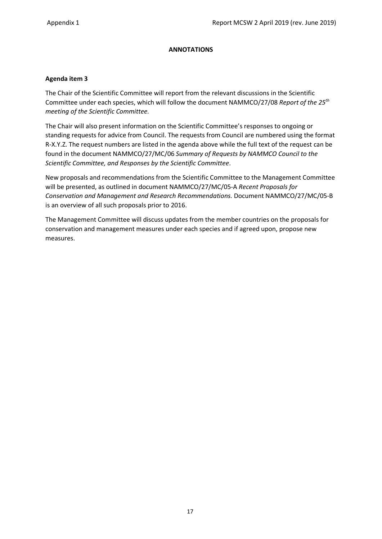#### **ANNOTATIONS**

#### **Agenda item 3**

The Chair of the Scientific Committee will report from the relevant discussions in the Scientific Committee under each species, which will follow the document NAMMCO/27/08 *Report of the 25th meeting of the Scientific Committee.* 

The Chair will also present information on the Scientific Committee's responses to ongoing or standing requests for advice from Council. The requests from Council are numbered using the format R-X.Y.Z. The request numbers are listed in the agenda above while the full text of the request can be found in the document NAMMCO/27/MC/06 *Summary of Requests by NAMMCO Council to the Scientific Committee, and Responses by the Scientific Committee*.

New proposals and recommendations from the Scientific Committee to the Management Committee will be presented, as outlined in document NAMMCO/27/MC/05-A *Recent Proposals for Conservation and Management and Research Recommendations.* Document NAMMCO/27/MC/05-B is an overview of all such proposals prior to 2016.

The Management Committee will discuss updates from the member countries on the proposals for conservation and management measures under each species and if agreed upon, propose new measures.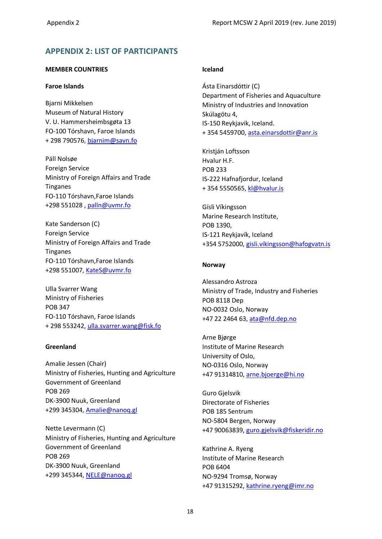#### <span id="page-17-0"></span>**APPENDIX 2: LIST OF PARTICIPANTS**

#### **MEMBER COUNTRIES**

#### **Faroe Islands**

Bjarni Mikkelsen Museum of Natural History V. U. Hammersheimbsgøta 13 FO-100 Tórshavn, Faroe Islands + 298 790576, [bjarnim@savn.fo](mailto:bjarnim@savn.fo)

Páll Nolsøe Foreign Service Ministry of Foreign Affairs and Trade Tinganes FO-110 Tórshavn,Faroe Islands +298 551028 , [palln@uvmr.fo](mailto:palln@uvmr.fo)

Kate Sanderson (C) Foreign Service Ministry of Foreign Affairs and Trade Tinganes FO-110 Tórshavn,Faroe Islands +298 551007, [KateS@uvmr.fo](mailto:KateS@uvmr.fo)

Ulla Svarrer Wang Ministry of Fisheries POB 347 FO-110 Tórshavn, Faroe Islands + 298 553242, [ulla.svarrer.wang@fisk.fo](mailto:ulla.svarrer.wang@fisk.fo)

#### **Greenland**

Amalie Jessen (Chair) Ministry of Fisheries, Hunting and Agriculture Government of Greenland POB 269 DK-3900 Nuuk, Greenland +299 345304, [Amalie@nanoq.gl](mailto:Amalie@nanoq.gl)

Nette Levermann (C) Ministry of Fisheries, Hunting and Agriculture Government of Greenland POB 269 DK-3900 Nuuk, Greenland +299 345344, [NELE@nanoq.gl](mailto:NELE@nanoq.gl)

#### **Iceland**

Ásta Einarsdóttir (C) Department of Fisheries and Aquaculture Ministry of Industries and Innovation Skúlagötu 4, IS-150 Reykjavik, Iceland. + 354 5459700, [asta.einarsdottir@anr.is](mailto:asta.einarsdottir@anr.is)

Kristján Loftsson Hvalur H.F. POB 233 IS-222 Hafnafjordur, Iceland + 354 5550565, [kl@hvalur.is](mailto:kl@hvalur.is)

Gísli Víkingsson Marine Research Institute, POB 1390, IS-121 Reykjavík, Iceland +354 5752000, [gisli.vikingsson@hafogvatn.is](mailto:gisli.vikingsson@hafogvatn.is)

#### **Norway**

Alessandro Astroza Ministry of Trade, Industry and Fisheries POB 8118 Dep NO-0032 Oslo, Norway +47 22 2464 63, [ata@nfd.dep.no](mailto:ata@nfd.dep.no)

Arne Bjørge Institute of Marine Research University of Oslo, NO-0316 Oslo, Norway +47 91314810, [arne.bjoerge@hi.no](mailto:arne.bjoerge@hi.no)

Guro Gjelsvik Directorate of Fisheries POB 185 Sentrum NO-5804 Bergen, Norway +47 90063839, [guro.gjelsvik@fiskeridir.no](mailto:guro.gjelsvik@fiskeridir.no)

Kathrine A. Ryeng Institute of Marine Research POB 6404 NO-9294 Tromsø, Norway +47 91315292, [kathrine.ryeng@imr.no](mailto:kathrine.ryeng@imr.no)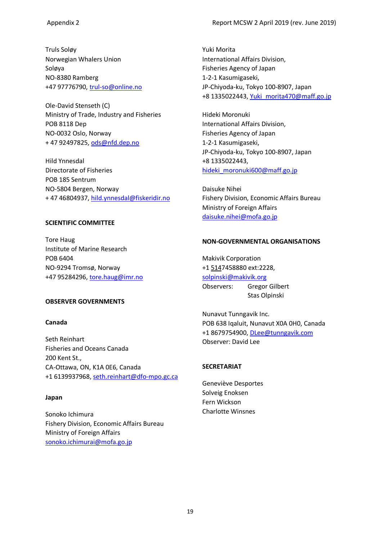Truls Soløy Norwegian Whalers Union Soløya NO-8380 Ramberg +47 97776790, [trul-so@online.no](mailto:trul-so@online.no)

Ole-David Stenseth (C) Ministry of Trade, Industry and Fisheries POB 8118 Dep NO-0032 Oslo, Norway + 47 92497825, [ods@nfd.dep.no](mailto:ods@nfd.dep.no)

Hild Ynnesdal Directorate of Fisheries POB 185 Sentrum NO-5804 Bergen, Norway + 47 46804937, [hild.ynnesdal@fiskeridir.no](mailto:hild.ynnesdal@fiskeridir.no)

#### **SCIENTIFIC COMMITTEE**

Tore Haug Institute of Marine Research POB 6404 NO-9294 Tromsø, Norway +47 95284296, [tore.haug@imr.no](mailto:tore.haug@imr.no)

#### **OBSERVER GOVERNMENTS**

#### **Canada**

Seth Reinhart Fisheries and Oceans Canada 200 Kent St., CA-Ottawa, ON, K1A 0E6, Canada +1 6139937968, [seth.reinhart@dfo-mpo.gc.ca](mailto:seth.reinhart@dfo-mpo.gc.ca)

#### **Japan**

Sonoko Ichimura Fishery Division, Economic Affairs Bureau Ministry of Foreign Affairs [sonoko.ichimurai@mofa.go.jp](mailto:sonoko.ichimurai@mofa.go.jp)

Yuki Morita International Affairs Division, Fisheries Agency of Japan 1-2-1 Kasumigaseki, JP-Chiyoda-ku, Tokyo 100-8907, Japan +8 1335022443, [Yuki\\_morita470@maff.go.jp](mailto:Yuki_morita470@maff.go.jp)

Hideki Moronuki International Affairs Division, Fisheries Agency of Japan 1-2-1 Kasumigaseki, JP-Chiyoda-ku, Tokyo 100-8907, Japan +8 1335022443, [hideki\\_moronuki600@maff.go.jp](mailto:hideki_moronuki600@maff.go.jp)

Daisuke Nihei Fishery Division, Economic Affairs Bureau Ministry of Foreign Affairs [daisuke.nihei@mofa.go.jp](mailto:daisuke.nihei@mofa.go.jp)

#### **NON-GOVERNMENTAL ORGANISATIONS**

Makivik Corporation [+1 5147](tel:(514))458880 ext:2228, [solpinski@makivik.org](mailto:solpinski@makivik.org) Observers: Gregor Gilbert Stas Olpinski

Nunavut Tunngavik Inc. POB 638 Iqaluit, Nunavut X0A 0H0, Canada +1 8679754900, [DLee@tunngavik.com](mailto:DLee@tunngavik.com) Observer: David Lee

#### **SECRETARIAT**

Geneviève Desportes Solveig Enoksen Fern Wickson Charlotte Winsnes